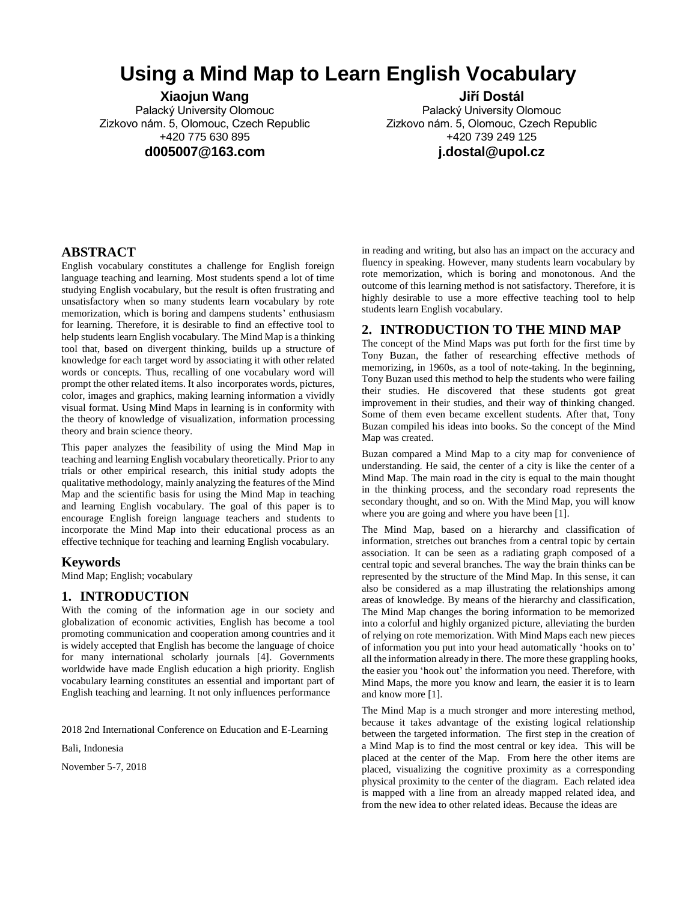# **Using a Mind Map to Learn English Vocabulary**

**Xiaojun Wang** Palacký University Olomouc Zizkovo nám. 5, Olomouc, Czech Republic +420 775 630 895 **[d005007@163.com](mailto:d005007@163.com)**

**Jiří Dostál**  Palacký University Olomouc Zizkovo nám. 5, Olomouc, Czech Republic +420 739 249 125 **[j.dostal@upol.cz](mailto:j.dostal@upol.cz)**

## **ABSTRACT**

English vocabulary constitutes a challenge for English foreign language teaching and learning. Most students spend a lot of time studying English vocabulary, but the result is often frustrating and unsatisfactory when so many students learn vocabulary by rote memorization, which is boring and dampens students' enthusiasm for learning. Therefore, it is desirable to find an effective tool to help students learn English vocabulary. The Mind Map is a thinking tool that, based on divergent thinking, builds up a structure of knowledge for each target word by associating it with other related words or concepts. Thus, recalling of one vocabulary word will prompt the other related items. It also incorporates words, pictures, color, images and graphics, making learning information a vividly visual format. Using Mind Maps in learning is in conformity with the theory of knowledge of visualization, information processing theory and brain science theory.

This paper analyzes the feasibility of using the Mind Map in teaching and learning English vocabulary theoretically. Prior to any trials or other empirical research, this initial study adopts the qualitative methodology, mainly analyzing the features of the Mind Map and the scientific basis for using the Mind Map in teaching and learning English vocabulary. The goal of this paper is to encourage English foreign language teachers and students to incorporate the Mind Map into their educational process as an effective technique for teaching and learning English vocabulary.

#### **Keywords**

Mind Map; English; vocabulary

#### **1. INTRODUCTION**

With the coming of the information age in our society and globalization of economic activities, English has become a tool promoting communication and cooperation among countries and it is widely accepted that English has become the language of choice for many international scholarly journals [4]. Governments worldwide have made English education a high priority. English vocabulary learning constitutes an essential and important part of English teaching and learning. It not only influences performance

2018 2nd International Conference on Education and E-Learning

Bali, Indonesia

November 5-7, 2018

in reading and writing, but also has an impact on the accuracy and fluency in speaking. However, many students learn vocabulary by rote memorization, which is boring and monotonous. And the outcome of this learning method is not satisfactory. Therefore, it is highly desirable to use a more effective teaching tool to help students learn English vocabulary.

#### **2. INTRODUCTION TO THE MIND MAP**

The concept of the Mind Maps was put forth for the first time by Tony Buzan, the father of researching effective methods of memorizing, in 1960s, as a tool of note-taking. In the beginning, Tony Buzan used this method to help the students who were failing their studies. He discovered that these students got great improvement in their studies, and their way of thinking changed. Some of them even became excellent students. After that, Tony Buzan compiled his ideas into books. So the concept of the Mind Map was created.

Buzan compared a Mind Map to a city map for convenience of understanding. He said, the center of a city is like the center of a Mind Map. The main road in the city is equal to the main thought in the thinking process, and the secondary road represents the secondary thought, and so on. With the Mind Map, you will know where you are going and where you have been [1].

The Mind Map, based on a hierarchy and classification of information, stretches out branches from a central topic by certain association. It can be seen as a radiating graph composed of a central topic and several branches. The way the brain thinks can be represented by the structure of the Mind Map. In this sense, it can also be considered as a map illustrating the relationships among areas of knowledge. By means of the hierarchy and classification, The Mind Map changes the boring information to be memorized into a colorful and highly organized picture, alleviating the burden of relying on rote memorization. With Mind Maps each new pieces of information you put into your head automatically 'hooks on to' all the information already in there. The more these grappling hooks, the easier you 'hook out' the information you need. Therefore, with Mind Maps, the more you know and learn, the easier it is to learn and know more [1].

The Mind Map is a much stronger and more interesting method, because it takes advantage of the existing logical relationship between the targeted information. The first step in the creation of a Mind Map is to find the most central or key idea. This will be placed at the center of the Map. From here the other items are placed, visualizing the cognitive proximity as a corresponding physical proximity to the center of the diagram. Each related idea is mapped with a line from an already mapped related idea, and from the new idea to other related ideas. Because the ideas are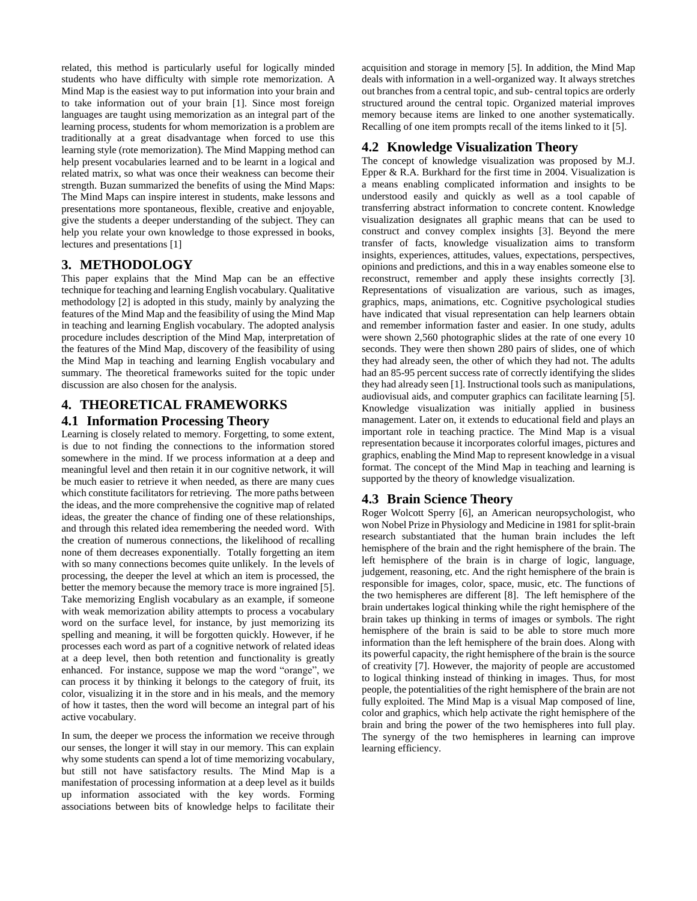related, this method is particularly useful for logically minded students who have difficulty with simple rote memorization. A Mind Map is the easiest way to put information into your brain and to take information out of your brain [1]. Since most foreign languages are taught using memorization as an integral part of the learning process, students for whom memorization is a problem are traditionally at a great disadvantage when forced to use this learning style (rote memorization). The Mind Mapping method can help present vocabularies learned and to be learnt in a logical and related matrix, so what was once their weakness can become their strength. Buzan summarized the benefits of using the Mind Maps: The Mind Maps can inspire interest in students, make lessons and presentations more spontaneous, flexible, creative and enjoyable, give the students a deeper understanding of the subject. They can help you relate your own knowledge to those expressed in books, lectures and presentations [1]

## **3. METHODOLOGY**

This paper explains that the Mind Map can be an effective technique for teaching and learning English vocabulary. Qualitative methodology [2] is adopted in this study, mainly by analyzing the features of the Mind Map and the feasibility of using the Mind Map in teaching and learning English vocabulary. The adopted analysis procedure includes description of the Mind Map, interpretation of the features of the Mind Map, discovery of the feasibility of using the Mind Map in teaching and learning English vocabulary and summary. The theoretical frameworks suited for the topic under discussion are also chosen for the analysis.

# **4. THEORETICAL FRAMEWORKS 4.1 Information Processing Theory**

Learning is closely related to memory. Forgetting, to some extent, is due to not finding the connections to the information stored somewhere in the mind. If we process information at a deep and meaningful level and then retain it in our cognitive network, it will be much easier to retrieve it when needed, as there are many cues which constitute facilitators for retrieving. The more paths between the ideas, and the more comprehensive the cognitive map of related ideas, the greater the chance of finding one of these relationships, and through this related idea remembering the needed word. With the creation of numerous connections, the likelihood of recalling none of them decreases exponentially. Totally forgetting an item with so many connections becomes quite unlikely. In the levels of processing, the deeper the level at which an item is processed, the better the memory because the memory trace is more ingrained [5]. Take memorizing English vocabulary as an example, if someone with weak memorization ability attempts to process a vocabulary word on the surface level, for instance, by just memorizing its spelling and meaning, it will be forgotten quickly. However, if he processes each word as part of a cognitive network of related ideas at a deep level, then both retention and functionality is greatly enhanced. For instance, suppose we map the word "orange", we can process it by thinking it belongs to the category of fruit, its color, visualizing it in the store and in his meals, and the memory of how it tastes, then the word will become an integral part of his active vocabulary.

In sum, the deeper we process the information we receive through our senses, the longer it will stay in our memory. This can explain why some students can spend a lot of time memorizing vocabulary, but still not have satisfactory results. The Mind Map is a manifestation of processing information at a deep level as it builds up information associated with the key words. Forming associations between bits of knowledge helps to facilitate their

acquisition and storage in memory [5]. In addition, the Mind Map deals with information in a well-organized way. It always stretches out branches from a central topic, and sub- central topics are orderly structured around the central topic. Organized material improves memory because items are linked to one another systematically. Recalling of one item prompts recall of the items linked to it [5].

#### **4.2 Knowledge Visualization Theory**

The concept of knowledge visualization was proposed by M.J. Epper & R.A. Burkhard for the first time in 2004. Visualization is a means enabling complicated information and insights to be understood easily and quickly as well as a tool capable of transferring abstract information to concrete content. Knowledge visualization designates all graphic means that can be used to construct and convey complex insights [3]. Beyond the mere transfer of facts, knowledge visualization aims to transform insights, experiences, attitudes, values, expectations, perspectives, opinions and predictions, and this in a way enables someone else to reconstruct, remember and apply these insights correctly [3]. Representations of visualization are various, such as images, graphics, maps, animations, etc. Cognitive psychological studies have indicated that visual representation can help learners obtain and remember information faster and easier. In one study, adults were shown 2,560 photographic slides at the rate of one every 10 seconds. They were then shown 280 pairs of slides, one of which they had already seen, the other of which they had not. The adults had an 85-95 percent success rate of correctly identifying the slides they had already seen [1]. Instructional tools such as manipulations, audiovisual aids, and computer graphics can facilitate learning [5]. Knowledge visualization was initially applied in business management. Later on, it extends to educational field and plays an important role in teaching practice. The Mind Map is a visual representation because it incorporates colorful images, pictures and graphics, enabling the Mind Map to represent knowledge in a visual format. The concept of the Mind Map in teaching and learning is supported by the theory of knowledge visualization.

## **4.3 Brain Science Theory**

Roger Wolcott Sperry [6], an American neuropsychologist, who won Nobel Prize in Physiology and Medicine in 1981 for split-brain research substantiated that the human brain includes the left hemisphere of the brain and the right hemisphere of the brain. The left hemisphere of the brain is in charge of logic, language, judgement, reasoning, etc. And the right hemisphere of the brain is responsible for images, color, space, music, etc. The functions of the two hemispheres are different [8]. The left hemisphere of the brain undertakes logical thinking while the right hemisphere of the brain takes up thinking in terms of images or symbols. The right hemisphere of the brain is said to be able to store much more information than the left hemisphere of the brain does. Along with its powerful capacity, the right hemisphere of the brain is the source of creativity [7]. However, the majority of people are accustomed to logical thinking instead of thinking in images. Thus, for most people, the potentialities of the right hemisphere of the brain are not fully exploited. The Mind Map is a visual Map composed of line, color and graphics, which help activate the right hemisphere of the brain and bring the power of the two hemispheres into full play. The synergy of the two hemispheres in learning can improve learning efficiency.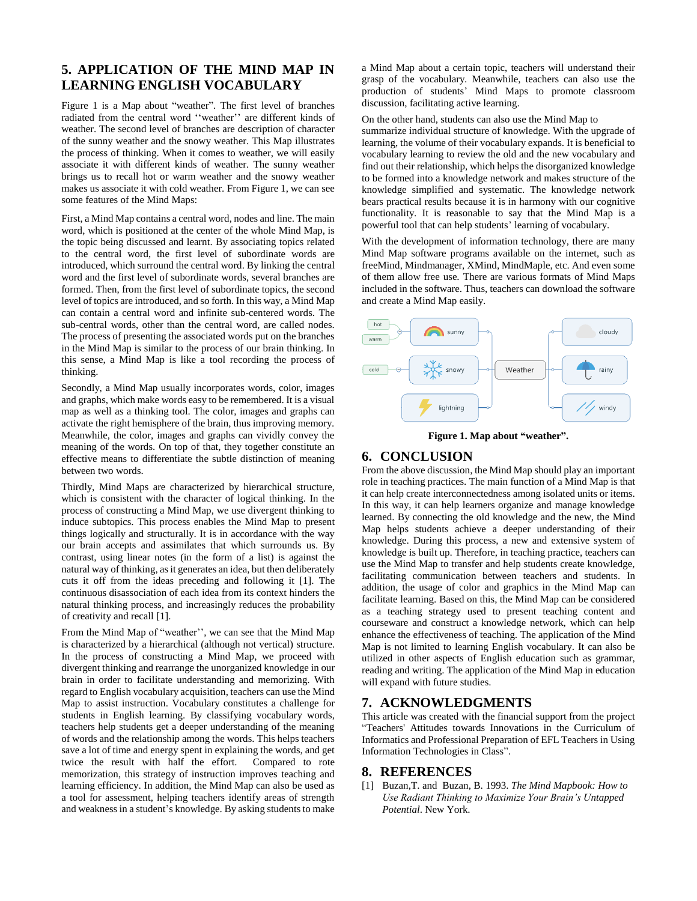# **5. APPLICATION OF THE MIND MAP IN LEARNING ENGLISH VOCABULARY**

Figure 1 is a Map about "weather". The first level of branches radiated from the central word ''weather'' are different kinds of weather. The second level of branches are description of character of the sunny weather and the snowy weather. This Map illustrates the process of thinking. When it comes to weather, we will easily associate it with different kinds of weather. The sunny weather brings us to recall hot or warm weather and the snowy weather makes us associate it with cold weather. From Figure 1, we can see some features of the Mind Maps:

First, a Mind Map contains a central word, nodes and line. The main word, which is positioned at the center of the whole Mind Map, is the topic being discussed and learnt. By associating topics related to the central word, the first level of subordinate words are introduced, which surround the central word. By linking the central word and the first level of subordinate words, several branches are formed. Then, from the first level of subordinate topics, the second level of topics are introduced, and so forth. In this way, a Mind Map can contain a central word and infinite sub-centered words. The sub-central words, other than the central word, are called nodes. The process of presenting the associated words put on the branches in the Mind Map is similar to the process of our brain thinking. In this sense, a Mind Map is like a tool recording the process of thinking.

Secondly, a Mind Map usually incorporates words, color, images and graphs, which make words easy to be remembered. It is a visual map as well as a thinking tool. The color, images and graphs can activate the right hemisphere of the brain, thus improving memory. Meanwhile, the color, images and graphs can vividly convey the meaning of the words. On top of that, they together constitute an effective means to differentiate the subtle distinction of meaning between two words.

Thirdly, Mind Maps are characterized by hierarchical structure, which is consistent with the character of logical thinking. In the process of constructing a Mind Map, we use divergent thinking to induce subtopics. This process enables the Mind Map to present things logically and structurally. It is in accordance with the way our brain accepts and assimilates that which surrounds us. By contrast, using linear notes (in the form of a list) is against the natural way of thinking, as it generates an idea, but then deliberately cuts it off from the ideas preceding and following it [1]. The continuous disassociation of each idea from its context hinders the natural thinking process, and increasingly reduces the probability of creativity and recall [1].

From the Mind Map of "weather'', we can see that the Mind Map is characterized by a hierarchical (although not vertical) structure. In the process of constructing a Mind Map, we proceed with divergent thinking and rearrange the unorganized knowledge in our brain in order to facilitate understanding and memorizing. With regard to English vocabulary acquisition, teachers can use the Mind Map to assist instruction. Vocabulary constitutes a challenge for students in English learning. By classifying vocabulary words, teachers help students get a deeper understanding of the meaning of words and the relationship among the words. This helps teachers save a lot of time and energy spent in explaining the words, and get twice the result with half the effort. Compared to rote memorization, this strategy of instruction improves teaching and learning efficiency. In addition, the Mind Map can also be used as a tool for assessment, helping teachers identify areas of strength and weakness in a student's knowledge. By asking students to make

a Mind Map about a certain topic, teachers will understand their grasp of the vocabulary. Meanwhile, teachers can also use the production of students' Mind Maps to promote classroom discussion, facilitating active learning.

On the other hand, students can also use the Mind Map to summarize individual structure of knowledge. With the upgrade of learning, the volume of their vocabulary expands. It is beneficial to vocabulary learning to review the old and the new vocabulary and find out their relationship, which helps the disorganized knowledge to be formed into a knowledge network and makes structure of the knowledge simplified and systematic. The knowledge network bears practical results because it is in harmony with our cognitive functionality. It is reasonable to say that the Mind Map is a powerful tool that can help students' learning of vocabulary.

With the development of information technology, there are many Mind Map software programs available on the internet, such as freeMind, Mindmanager, XMind, MindMaple, etc. And even some of them allow free use. There are various formats of Mind Maps included in the software. Thus, teachers can download the software and create a Mind Map easily.



**Figure 1. Map about "weather".**

## **6. CONCLUSION**

From the above discussion, the Mind Map should play an important role in teaching practices. The main function of a Mind Map is that it can help create interconnectedness among isolated units or items. In this way, it can help learners organize and manage knowledge learned. By connecting the old knowledge and the new, the Mind Map helps students achieve a deeper understanding of their knowledge. During this process, a new and extensive system of knowledge is built up. Therefore, in teaching practice, teachers can use the Mind Map to transfer and help students create knowledge, facilitating communication between teachers and students. In addition, the usage of color and graphics in the Mind Map can facilitate learning. Based on this, the Mind Map can be considered as a teaching strategy used to present teaching content and courseware and construct a knowledge network, which can help enhance the effectiveness of teaching. The application of the Mind Map is not limited to learning English vocabulary. It can also be utilized in other aspects of English education such as grammar, reading and writing. The application of the Mind Map in education will expand with future studies.

# **7. ACKNOWLEDGMENTS**

This article was created with the financial support from the project "Teachers' Attitudes towards Innovations in the Curriculum of Informatics and Professional Preparation of EFL Teachers in Using Information Technologies in Class".

#### **8. REFERENCES**

[1] Buzan,T. and Buzan, B. 1993. *The Mind Mapbook: How to Use Radiant Thinking to Maximize Your Brain's Untapped Potential*. New York.